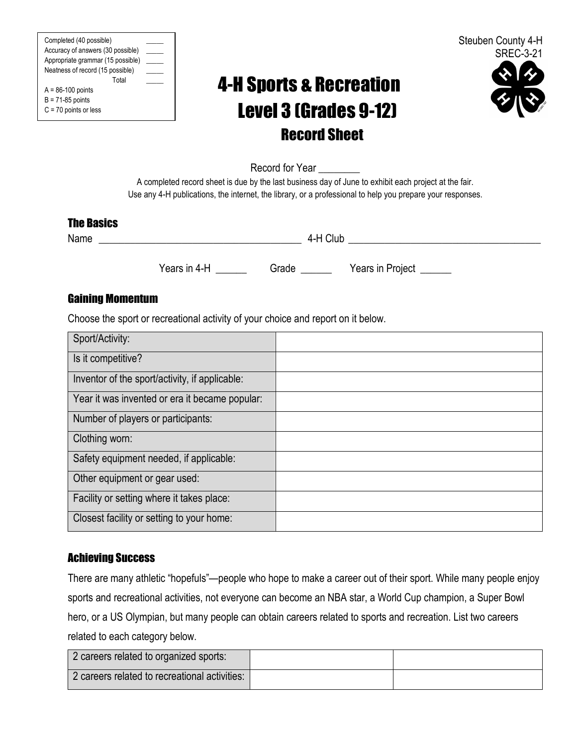Completed (40 possible) \_\_\_\_\_ Accuracy of answers (30 possible) Appropriate grammar (15 possible) \_\_\_\_\_ Neatness of record (15 possible) \_\_\_\_\_ Total \_\_\_\_\_  $A = 86-100$  points  $B = 71-85$  points

| C = 70 points or less |  |  |  |
|-----------------------|--|--|--|
|-----------------------|--|--|--|

# 4-H Sports & Recreation Level 3 (Grades 9-12) Record Sheet



Record for Year

A completed record sheet is due by the last business day of June to exhibit each project at the fair. Use any 4-H publications, the internet, the library, or a professional to help you prepare your responses.

#### The Basics

Name \_\_\_\_\_\_\_\_\_\_\_\_\_\_\_\_\_\_\_\_\_\_\_\_\_\_\_\_\_\_\_\_\_\_\_\_\_\_\_ 4-H Club \_\_\_\_\_\_\_\_\_\_\_\_\_\_\_\_\_\_\_\_\_\_\_\_\_\_\_\_\_\_\_\_\_\_\_\_\_

Years in 4-H \_\_\_\_\_\_\_ Grade \_\_\_\_\_\_ Years in Project \_\_\_\_\_\_

### Gaining Momentum

Choose the sport or recreational activity of your choice and report on it below.

| Sport/Activity:                                |  |
|------------------------------------------------|--|
| Is it competitive?                             |  |
| Inventor of the sport/activity, if applicable: |  |
| Year it was invented or era it became popular: |  |
| Number of players or participants:             |  |
| Clothing worn:                                 |  |
| Safety equipment needed, if applicable:        |  |
| Other equipment or gear used:                  |  |
| Facility or setting where it takes place:      |  |
| Closest facility or setting to your home:      |  |

#### Achieving Success

There are many athletic "hopefuls"—people who hope to make a career out of their sport. While many people enjoy sports and recreational activities, not everyone can become an NBA star, a World Cup champion, a Super Bowl hero, or a US Olympian, but many people can obtain careers related to sports and recreation. List two careers related to each category below.

| 2 careers related to organized sports:        |  |
|-----------------------------------------------|--|
| 2 careers related to recreational activities: |  |